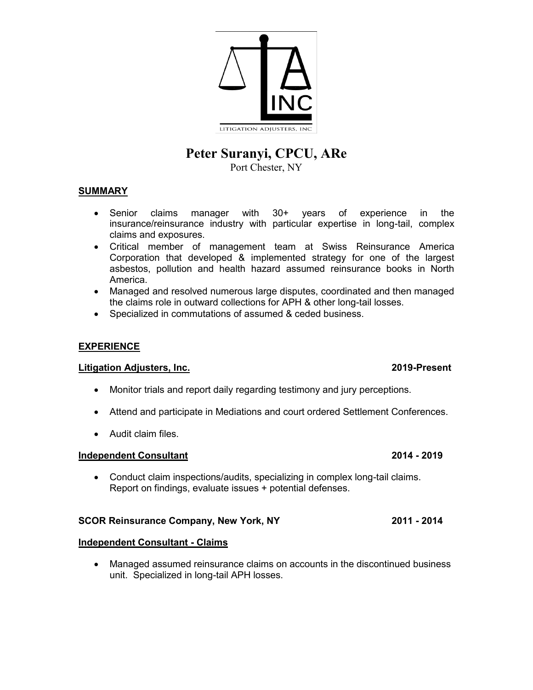

# **Peter Suranyi, CPCU, ARe**

Port Chester, NY

# **SUMMARY**

- Senior claims manager with 30+ years of experience in the insurance/reinsurance industry with particular expertise in long-tail, complex claims and exposures.
- Critical member of management team at Swiss Reinsurance America Corporation that developed & implemented strategy for one of the largest asbestos, pollution and health hazard assumed reinsurance books in North America.
- Managed and resolved numerous large disputes, coordinated and then managed the claims role in outward collections for APH & other long-tail losses.
- Specialized in commutations of assumed & ceded business.

# **EXPERIENCE**

# **Litigation Adjusters, Inc. 2019-Present**

- Monitor trials and report daily regarding testimony and jury perceptions.
- Attend and participate in Mediations and court ordered Settlement Conferences.
- Audit claim files.

# **Independent Consultant 2014 - 2019**

• Conduct claim inspections/audits, specializing in complex long-tail claims. Report on findings, evaluate issues + potential defenses.

### **SCOR Reinsurance Company, New York, NY 2011 - 2014**

### **Independent Consultant - Claims**

• Managed assumed reinsurance claims on accounts in the discontinued business unit. Specialized in long-tail APH losses.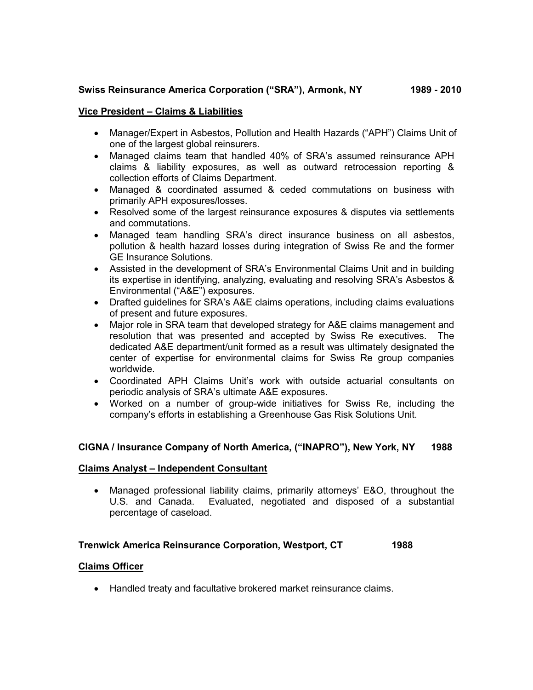# **Swiss Reinsurance America Corporation ("SRA"), Armonk, NY 1989 - 2010**

# **Vice President – Claims & Liabilities**

- Manager/Expert in Asbestos, Pollution and Health Hazards ("APH") Claims Unit of one of the largest global reinsurers.
- Managed claims team that handled 40% of SRA's assumed reinsurance APH claims & liability exposures, as well as outward retrocession reporting & collection efforts of Claims Department.
- Managed & coordinated assumed & ceded commutations on business with primarily APH exposures/losses.
- Resolved some of the largest reinsurance exposures & disputes via settlements and commutations.
- Managed team handling SRA's direct insurance business on all asbestos, pollution & health hazard losses during integration of Swiss Re and the former GE Insurance Solutions.
- Assisted in the development of SRA's Environmental Claims Unit and in building its expertise in identifying, analyzing, evaluating and resolving SRA's Asbestos & Environmental ("A&E") exposures.
- Drafted guidelines for SRA's A&E claims operations, including claims evaluations of present and future exposures.
- Major role in SRA team that developed strategy for A&E claims management and resolution that was presented and accepted by Swiss Re executives. The dedicated A&E department/unit formed as a result was ultimately designated the center of expertise for environmental claims for Swiss Re group companies worldwide.
- Coordinated APH Claims Unit's work with outside actuarial consultants on periodic analysis of SRA's ultimate A&E exposures.
- Worked on a number of group-wide initiatives for Swiss Re, including the company's efforts in establishing a Greenhouse Gas Risk Solutions Unit.

# **CIGNA / Insurance Company of North America, ("INAPRO"), New York, NY 1988**

### **Claims Analyst – Independent Consultant**

• Managed professional liability claims, primarily attorneys' E&O, throughout the U.S. and Canada. Evaluated, negotiated and disposed of a substantial percentage of caseload.

# **Trenwick America Reinsurance Corporation, Westport, CT 1988**

### **Claims Officer**

• Handled treaty and facultative brokered market reinsurance claims.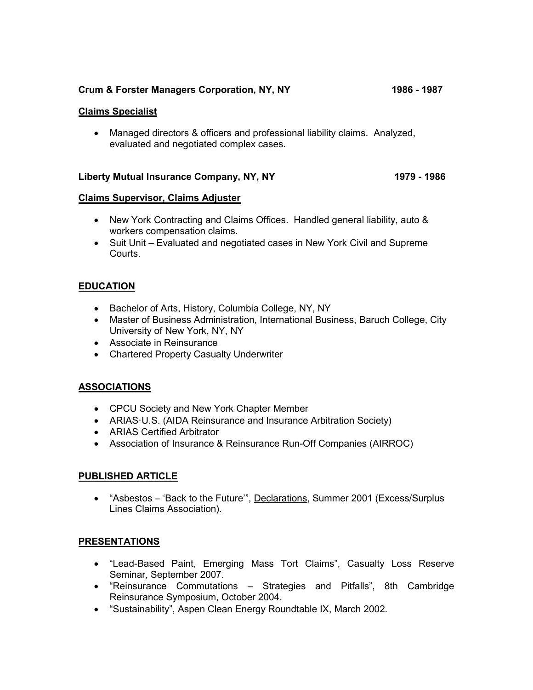# **Crum & Forster Managers Corporation, NY, NY 1986 - 1987**

## **Claims Specialist**

• Managed directors & officers and professional liability claims. Analyzed, evaluated and negotiated complex cases.

# **Liberty Mutual Insurance Company, NY, NY 1979 - 1986**

### **Claims Supervisor, Claims Adjuster**

- New York Contracting and Claims Offices. Handled general liability, auto & workers compensation claims.
- Suit Unit Evaluated and negotiated cases in New York Civil and Supreme Courts.

# **EDUCATION**

- Bachelor of Arts, History, Columbia College, NY, NY
- Master of Business Administration, International Business, Baruch College, City University of New York, NY, NY
- Associate in Reinsurance
- Chartered Property Casualty Underwriter

# **ASSOCIATIONS**

- CPCU Society and New York Chapter Member
- ARIAS·U.S. (AIDA Reinsurance and Insurance Arbitration Society)
- ARIAS Certified Arbitrator
- Association of Insurance & Reinsurance Run-Off Companies (AIRROC)

# **PUBLISHED ARTICLE**

• "Asbestos – 'Back to the Future'", Declarations, Summer 2001 (Excess/Surplus Lines Claims Association).

### **PRESENTATIONS**

- "Lead-Based Paint, Emerging Mass Tort Claims", Casualty Loss Reserve Seminar, September 2007.
- "Reinsurance Commutations Strategies and Pitfalls", 8th Cambridge Reinsurance Symposium, October 2004.
- "Sustainability", Aspen Clean Energy Roundtable IX, March 2002.